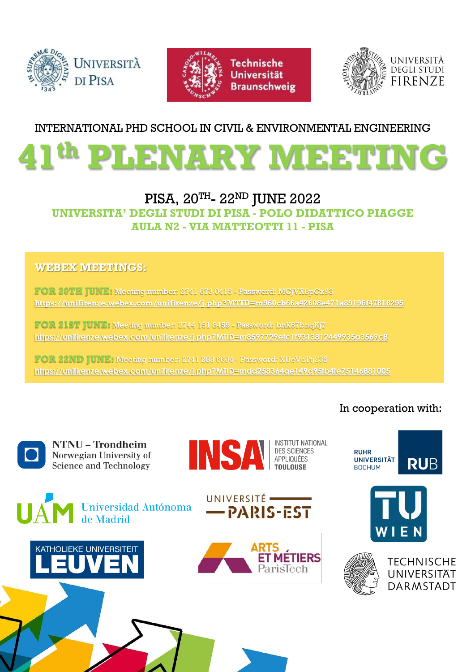





#### INTERNATIONAL PHD SCHOOL IN CIVIL & ENVIRONMENTAL ENGINEERING



#### PISA, 20<sup>th</sup>- 22<sup>nd</sup> JUNE 2022 **UNIVERSITA' DEGLI STUDI DI PISA - POLO DIDATTICO PIAGGE AULA N2 - VIA MATTEOTTI 11 - PISA**

#### **WEBEX MEETINGS:**

**FOR 20TH JUNE:** Meeting number: 2741 673 0415 - Password: MCjVX8pCx93 **<https://unifirenze.webex.com/unifirenze/j.php?MTID=m960cb66a42608e471a89196f47818295>**

**FOR 21ST JUNE:** Meeting number: 2744 151 8459 - Password: bnK67bnqKj7 **<https://unifirenze.webex.com/unifirenze/j.php?MTID=m8597729efc1f9313812449935a3569c8>**

**FOR 22ND JUNE:** Meeting number: 2741 288 6604 - Password: XUeVuTtj235 **<https://unifirenze.webex.com/unifirenze/j.php?MTID=mdd258364ae149d95fb4fe75146881005>**

#### In cooperation with:



**NTNU - Trondheim** Norwegian University of **Science and Technology** 















**RUHR** 

**BOCHUM** 

**UNIVERSITÄT** 



**RUB**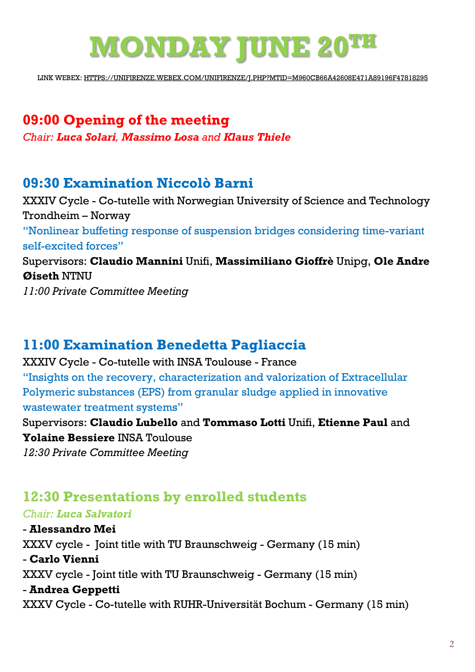# **MONDAY JUNE 20TH**

LINK WEBEX: [HTTPS://UNIFIRENZE.WEBEX.COM/UNIFIRENZE/J.PHP?MTID=M960CB66A42608E471A89196F47818295](https://unifirenze.webex.com/unifirenze/j.php?MTID=m960cb66a42608e471a89196f47818295)

# **09:00 Opening of the meeting** *Chair: Luca Solari, Massimo Losa and Klaus Thiele*

## **09:30 Examination Niccolò Barni**

XXXIV Cycle - Co-tutelle with Norwegian University of Science and Technology Trondheim – Norway "Nonlinear buffeting response of suspension bridges considering time-variant self-excited forces" Supervisors: **Claudio Mannini** Unifi, **Massimiliano Gioffrè** Unipg, **Ole Andre Øiseth** NTNU *11:00 Private Committee Meeting*

# **11:00 Examination Benedetta Pagliaccia**

XXXIV Cycle - Co-tutelle with INSA Toulouse - France "Insights on the recovery, characterization and valorization of Extracellular Polymeric substances (EPS) from granular sludge applied in innovative wastewater treatment systems" Supervisors: **Claudio Lubello** and **Tommaso Lotti** Unifi, **Etienne Paul** and **Yolaine Bessiere** INSA Toulouse *12:30 Private Committee Meeting*

# **12:30 Presentations by enrolled students**

#### *Chair: Luca Salvatori*

- **Alessandro Mei** XXXV cycle - Joint title with TU Braunschweig - Germany (15 min) - **Carlo Vienni** XXXV cycle - Joint title with TU Braunschweig - Germany (15 min) - **Andrea Geppetti** XXXV Cycle - Co-tutelle with RUHR-Universität Bochum - Germany (15 min)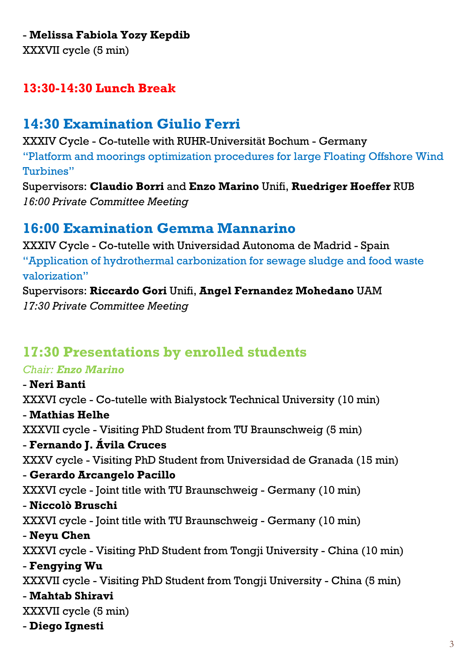#### - **Melissa Fabiola Yozy Kepdib**

XXXVII cycle (5 min)

## **13:30-14:30 Lunch Break**

## **14:30 Examination Giulio Ferri**

XXXIV Cycle - Co-tutelle with RUHR-Universität Bochum - Germany "Platform and moorings optimization procedures for large Floating Offshore Wind Turbines"

Supervisors: **Claudio Borri** and **Enzo Marino** Unifi, **Ruedriger Hoeffer** RUB *16:00 Private Committee Meeting*

## **16:00 Examination Gemma Mannarino**

XXXIV Cycle - Co-tutelle with Universidad Autonoma de Madrid - Spain "Application of hydrothermal carbonization for sewage sludge and food waste valorization"

Supervisors: **Riccardo Gori** Unifi, **Angel Fernandez Mohedano** UAM *17:30 Private Committee Meeting*

## **17:30 Presentations by enrolled students**

#### *Chair: Enzo Marino*

- **Neri Banti** XXXVI cycle - Co-tutelle with Bialystock Technical University (10 min) - **Mathias Helhe** XXXVII cycle - Visiting PhD Student from TU Braunschweig (5 min) - **Fernando J. Ávila Cruces** XXXV cycle - Visiting PhD Student from Universidad de Granada (15 min) - **Gerardo Arcangelo Pacillo** XXXVI cycle - Joint title with TU Braunschweig - Germany (10 min) - **Niccolò Bruschi** XXXVI cycle - Joint title with TU Braunschweig - Germany (10 min) - **Neyu Chen** XXXVI cycle - Visiting PhD Student from Tongji University - China (10 min) - **Fengying Wu** XXXVII cycle - Visiting PhD Student from Tongji University - China (5 min) - **Mahtab Shiravi** XXXVII cycle (5 min) - **Diego Ignesti**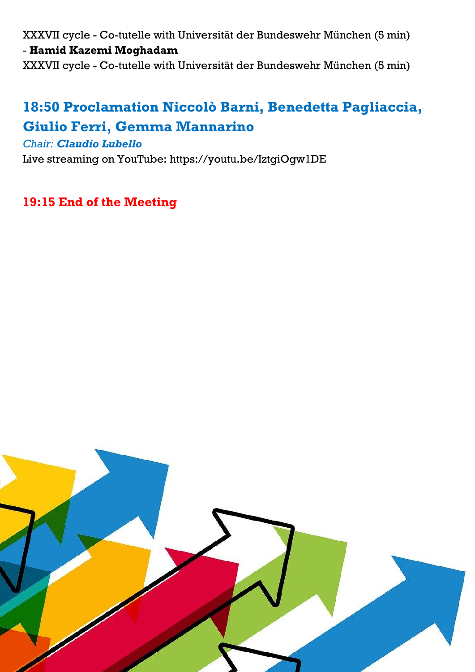XXXVII cycle - Co-tutelle with Universität der Bundeswehr München (5 min) - **Hamid Kazemi Moghadam**

XXXVII cycle - Co-tutelle with Universität der Bundeswehr München (5 min)

# **18:50 Proclamation Niccolò Barni, Benedetta Pagliaccia, Giulio Ferri, Gemma Mannarino**

#### *Chair: Claudio Lubello*

Live streaming on YouTube: https://youtu.be/IztgiOgw1DE

**19:15 End of the Meeting**

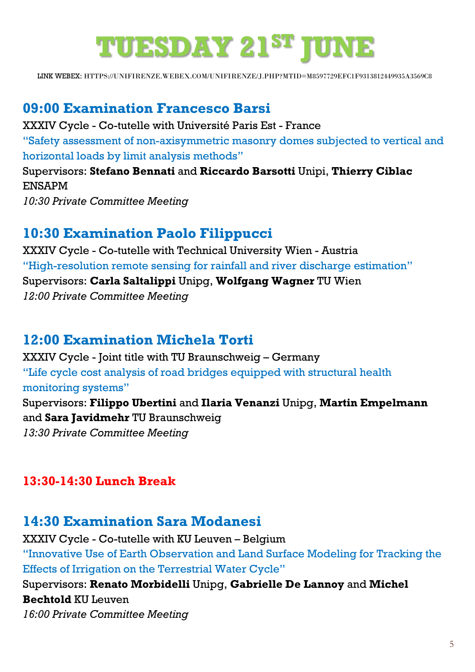# **TUESDAY 21ST JUNE**

LINK WEBEX: [HTTPS://UNIFIRENZE.WEBEX.COM/UNIFIRENZE/J.PHP?MTID=M8597729EFC1F9313812449935A3569C8](https://unifirenze.webex.com/unifirenze/j.php?MTID=m8597729efc1f9313812449935a3569c8)

#### **09:00 Examination Francesco Barsi**

XXXIV Cycle - Co-tutelle with Université Paris Est - France "Safety assessment of non-axisymmetric masonry domes subjected to vertical and horizontal loads by limit analysis methods" Supervisors: **Stefano Bennati** and **Riccardo Barsotti** Unipi, **Thierry Ciblac** ENSAPM

*10:30 Private Committee Meeting*

## **10:30 Examination Paolo Filippucci**

XXXIV Cycle - Co-tutelle with Technical University Wien - Austria "High-resolution remote sensing for rainfall and river discharge estimation" Supervisors: **Carla Saltalippi** Unipg, **Wolfgang Wagner** TU Wien *12:00 Private Committee Meeting*

## **12:00 Examination Michela Torti**

XXXIV Cycle - Joint title with TU Braunschweig – Germany "Life cycle cost analysis of road bridges equipped with structural health monitoring systems" Supervisors: **Filippo Ubertini** and **Ilaria Venanzi** Unipg, **Martin Empelmann** and **Sara Javidmehr** TU Braunschweig *13:30 Private Committee Meeting*

#### **13:30-14:30 Lunch Break**

## **14:30 Examination Sara Modanesi**

XXXIV Cycle - Co-tutelle with KU Leuven – Belgium

"Innovative Use of Earth Observation and Land Surface Modeling for Tracking the Effects of Irrigation on the Terrestrial Water Cycle"

Supervisors: **Renato Morbidelli** Unipg, **Gabrielle De Lannoy** and **Michel Bechtold** KU Leuven *16:00 Private Committee Meeting*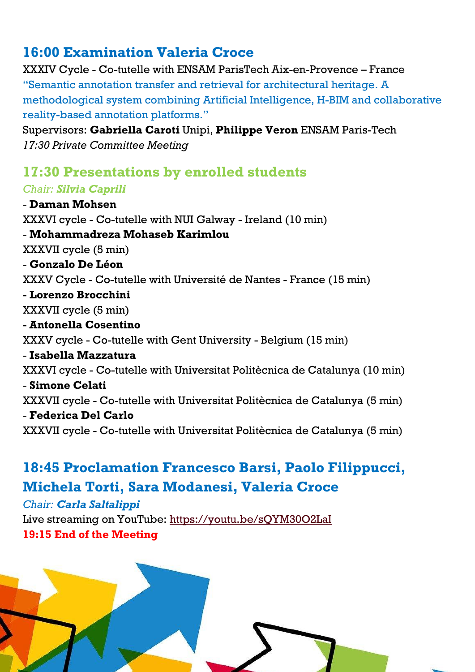# **16:00 Examination Valeria Croce**

XXXIV Cycle - Co-tutelle with ENSAM ParisTech Aix-en-Provence – France "Semantic annotation transfer and retrieval for architectural heritage. A methodological system combining Artificial Intelligence, H-BIM and collaborative reality-based annotation platforms."

Supervisors: **Gabriella Caroti** Unipi, **Philippe Veron** ENSAM Paris-Tech *17:30 Private Committee Meeting*

## **17:30 Presentations by enrolled students**

#### *Chair: Silvia Caprili*

- **Daman Mohsen** XXXVI cycle - Co-tutelle with NUI Galway - Ireland (10 min) - **Mohammadreza Mohaseb Karimlou** XXXVII cycle (5 min) - **Gonzalo De Léon** XXXV Cycle - Co-tutelle with Université de Nantes - France (15 min) - **Lorenzo Brocchini** XXXVII cycle (5 min) - **Antonella Cosentino** XXXV cycle - Co-tutelle with Gent University - Belgium (15 min) - **Isabella Mazzatura** XXXVI cycle - Co-tutelle with Universitat Politècnica de Catalunya (10 min) - **Simone Celati** XXXVII cycle - Co-tutelle with Universitat Politècnica de Catalunya (5 min) - **Federica Del Carlo** XXXVII cycle - Co-tutelle with Universitat Politècnica de Catalunya (5 min)

# **18:45 Proclamation Francesco Barsi, Paolo Filippucci, Michela Torti, Sara Modanesi, Valeria Croce**

*Chair: Carla Saltalippi*

Live streaming on YouTube:<https://youtu.be/sQYM30O2LaI> **19:15 End of the Meeting**

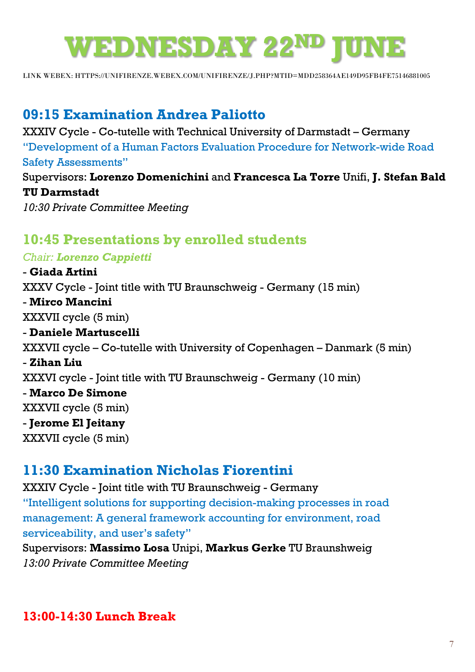# **WEDNESDAY 22ND JUNE**

LINK WEBEX: [HTTPS://UNIFIRENZE.WEBEX.COM/UNIFIRENZE/J.PHP?MTID=MDD258364AE149D95FB4FE75146881005](https://unifirenze.webex.com/unifirenze/j.php?MTID=mdd258364ae149d95fb4fe75146881005)

## **09:15 Examination Andrea Paliotto**

XXXIV Cycle - Co-tutelle with Technical University of Darmstadt – Germany "Development of a Human Factors Evaluation Procedure for Network-wide Road Safety Assessments" Supervisors: **Lorenzo Domenichini** and **Francesca La Torre** Unifi, **J. Stefan Bald** 

#### **TU Darmstadt**

*10:30 Private Committee Meeting*

## **10:45 Presentations by enrolled students**

#### *Chair: Lorenzo Cappietti*

- **Giada Artini** XXXV Cycle - Joint title with TU Braunschweig - Germany (15 min) - **Mirco Mancini** XXXVII cycle (5 min) - **Daniele Martuscelli** XXXVII cycle – Co-tutelle with University of Copenhagen – Danmark (5 min) - **Zihan Liu** XXXVI cycle - Joint title with TU Braunschweig - Germany (10 min) - **Marco De Simone** XXXVII cycle (5 min) - **Jerome El Jeitany** XXXVII cycle (5 min)

## **11:30 Examination Nicholas Fiorentini**

XXXIV Cycle - Joint title with TU Braunschweig - Germany "Intelligent solutions for supporting decision-making processes in road management: A general framework accounting for environment, road serviceability, and user's safety"

Supervisors: **Massimo Losa** Unipi, **Markus Gerke** TU Braunshweig *13:00 Private Committee Meeting*

## **13:00-14:30 Lunch Break**